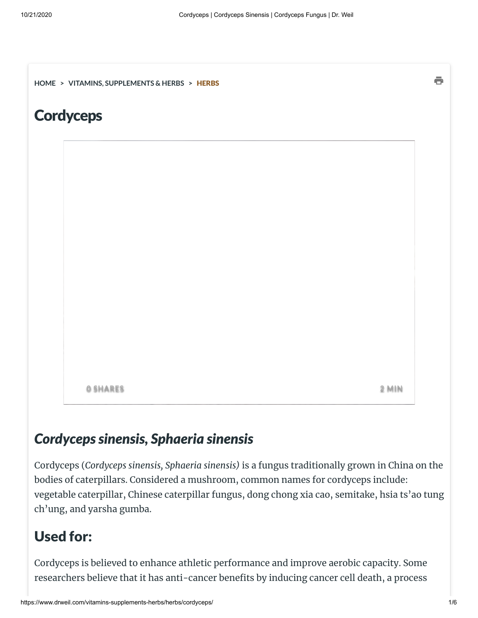**[HOME](https://www.drweil.com/) > VITAMINS, [SUPPLEMENTS](https://www.drweil.com/vitamins-supplements-herbs/) & HERBS >** [HERBS](https://www.drweil.com/vitamins-supplements-herbs/herbs/)

### **Cordyceps**

**0 SHARES** 

2 **MIN** 

ē

#### *Cordycepssinensis, Sphaeria sinensis*

Cordyceps (*Cordyceps sinensis, Sphaeria sinensis)* is a fungus traditionally grown in China on the bodies of caterpillars. Considered a mushroom, common names for cordyceps include: vegetable caterpillar, Chinese caterpillar fungus, dong chong xia cao, semitake, hsia ts'ao tung ch'ung, and yarsha gumba.

#### Used for:

Cordyceps is believed to enhance athletic performance and improve aerobic capacity. Some researchers believe that it has anti-cancer benefits by inducing cancer cell death, a process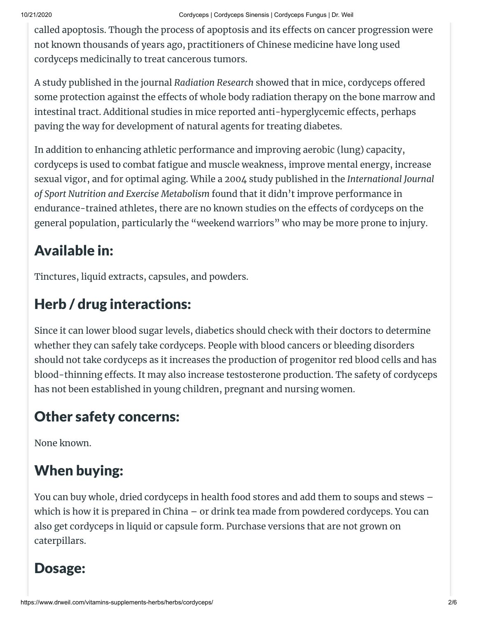called apoptosis. Though the process of apoptosis and its effects on cancer progression were not known thousands of years ago, practitioners of Chinese medicine have long used cordyceps medicinally to treat cancerous tumors.

A study published in the journal *Radiation Research* showed that in mice, cordyceps offered some protection against the effects of whole body radiation therapy on the bone marrow and intestinal tract. Additional studies in mice reported anti-hyperglycemic effects, perhaps paving the way for development of natural agents for treating diabetes.

In addition to enhancing athletic performance and improving aerobic (lung) capacity, cordyceps is used to combat fatigue and muscle weakness, improve mental energy, increase sexual vigor, and for optimal aging. While a 2004 study published in the *International Journal of Sport Nutrition and Exercise Metabolism* found that it didn't improve performance in endurance-trained athletes, there are no known studies on the effects of cordyceps on the general population, particularly the "weekend warriors" who may be more prone to injury.

# Available in:

Tinctures, liquid extracts, capsules, and powders.

# Herb / drug interactions:

Since it can lower blood sugar levels, diabetics should check with their doctors to determine whether they can safely take cordyceps. People with blood cancers or bleeding disorders should not take cordyceps as it increases the production of progenitor red blood cells and has blood-thinning effects. It may also increase testosterone production. The safety of cordyceps has not been established in young children, pregnant and nursing women.

### Other safety concerns:

None known.

# When buying:

You can buy whole, dried cordyceps in health food stores and add them to soups and stews – which is how it is prepared in China – or drink tea made from powdered cordyceps. You can also get cordyceps in liquid or capsule form. Purchase versions that are not grown on caterpillars.

#### Dosage: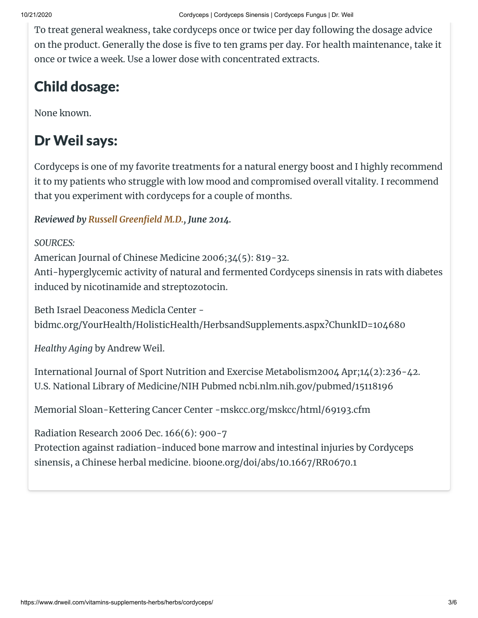To treat general weakness, take cordyceps once or twice per day following the dosage advice on the product. Generally the dose is five to ten grams per day. For health maintenance, take it once or twice a week. Use a lower dose with concentrated extracts.

# Child dosage:

None known.

## Dr Weil says:

Cordyceps is one of my favorite treatments for a natural energy boost and I highly recommend it to my patients who struggle with low mood and compromised overall vitality. I recommend that you experiment with cordyceps for a couple of months.

*Reviewed by , June 2014. Russell [Greeneld](https://www.drweil.com/drw/u/PAG00022/Dr-Weil-Science-Advisory-Board.html#RHG) M.D.*

*SOURCES:* American Journal of Chinese Medicine 2006;34(5): 819-32. Anti-hyperglycemic activity of natural and fermented Cordyceps sinensis in rats with diabetes induced by nicotinamide and streptozotocin.

Beth Israel Deaconess Medicla Center bidmc.org/YourHealth/HolisticHealth/HerbsandSupplements.aspx?ChunkID=104680

*Healthy Aging* by Andrew Weil.

International Journal of Sport Nutrition and Exercise Metabolism2004 Apr;14(2):236-42. U.S. National Library of Medicine/NIH Pubmed ncbi.nlm.nih.gov/pubmed/15118196

Memorial Sloan-Kettering Cancer Center -mskcc.org/mskcc/html/69193.cfm

Radiation Research 2006 Dec. 166(6): 900-7 Protection against radiation-induced bone marrow and intestinal injuries by Cordyceps sinensis, a Chinese herbal medicine. bioone.org/doi/abs/10.1667/RR0670.1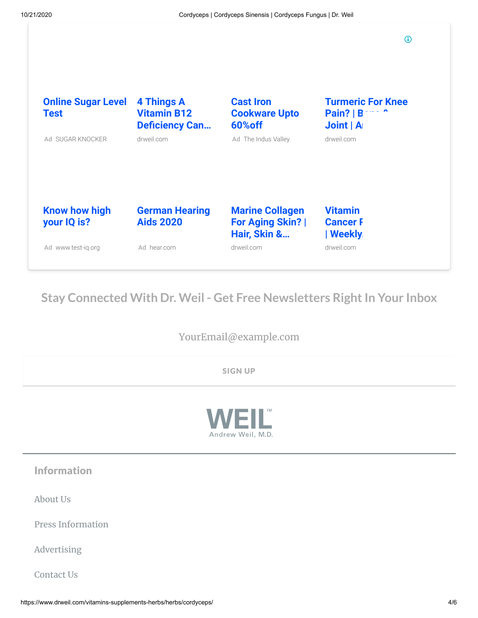$\odot$ 

| <b>Online Sugar Level</b><br><b>Test</b> | 4 Things A<br><b>Vitamin B12</b><br><b>Deficiency Can</b> | <b>Cast Iron</b><br><b>Cookware Upto</b><br>60% off              | <b>Turmeric For Knee</b><br>Pair?   B<br>Joint   A |
|------------------------------------------|-----------------------------------------------------------|------------------------------------------------------------------|----------------------------------------------------|
| Ad SUGAR KNOCKER                         | drweil.com                                                | Ad The Indus Valley                                              | drweil.com                                         |
|                                          |                                                           |                                                                  |                                                    |
| <b>Know how high</b><br>your IQ is?      | <b>German Hearing</b><br><b>Aids 2020</b>                 | <b>Marine Collagen</b><br><b>For Aging Skin?</b><br>Hair, Skin & | <b>Vitamin</b><br><b>Cancer F</b><br>  Weekly.     |
| Ad www.test-ig.org                       | Ad hear.com                                               | drweil.com                                                       | drweil.com                                         |

#### **Stay Connected With Dr. Weil - Get Free Newsletters RightIn Your Inbox**

YourEmail@example.com

SIGN UP



Information

[About](https://www.drweil.com/about/about-weil-lifestyle/) Us

Press [Information](https://www.drweil.com/press-information/)

[Advertising](https://www.drweil.com/about/advertising/)

[Contact](https://www.drweil.com/contact/) Us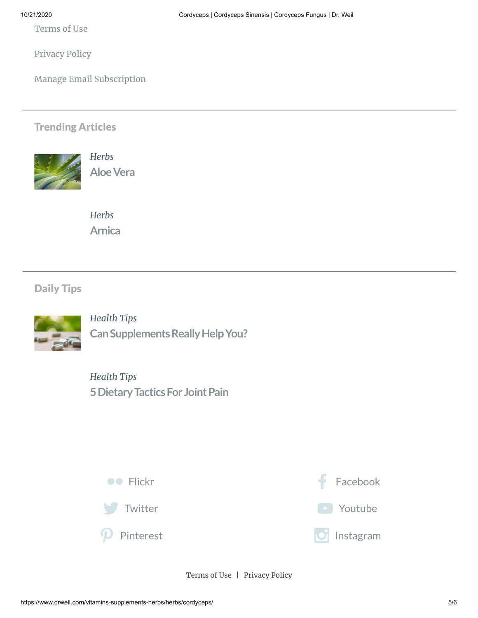[Terms](https://www.drweil.com/terms-of-use/) of Use

[Privacy](https://www.drweil.com/privacy-policy/) Policy

Manage Email [Subscription](https://www.drweil.com/newsletter/manage)

#### Trending Articles



*[Herbs](https://www.drweil.com/vitamins-supplements-herbs/herbs/)* **[AloeVera](https://www.drweil.com/vitamins-supplements-herbs/herbs/aloe-vera/)**

*[Herbs](https://www.drweil.com/vitamins-supplements-herbs/herbs/)* **[Arnica](https://www.drweil.com/vitamins-supplements-herbs/herbs/arnica/)**

#### Daily Tips



*[Health](https://www.drweil.com/blog/health-tips/) Tips* **Can Supplements Really Help You?** 

*[Health](https://www.drweil.com/blog/health-tips/) Tips* **[5DietaryTacticsFor](https://www.drweil.com/blog/health-tips/5-dietary-tactics-for-joint-pain/) JointPain**



[Terms](https://www.drweil.com/terms-of-use/) of Use | [Privacy](https://www.drweil.com/privacy-policy/) Policy